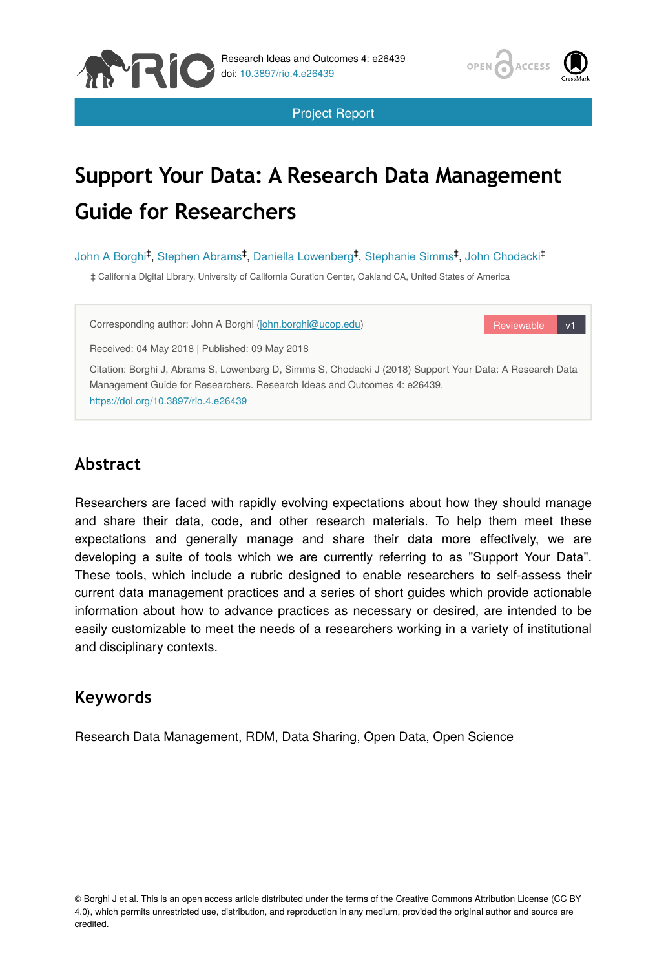



Reviewable v1

Project Report

# **Support Your Data: A Research Data Management Guide for Researchers**

John A Borghi<sup>‡</sup>, Stephen Abrams<sup>‡</sup>, Daniella Lowenberg<sup>‡</sup>, Stephanie Simms<sup>‡</sup>, John Chodacki<sup>‡</sup>

‡ California Digital Library, University of California Curation Center, Oakland CA, United States of America

Corresponding author: John A Borghi [\(john.borghi@ucop.edu\)](mailto:john.borghi@ucop.edu)

Received: 04 May 2018 | Published: 09 May 2018

Citation: Borghi J, Abrams S, Lowenberg D, Simms S, Chodacki J (2018) Support Your Data: A Research Data Management Guide for Researchers. Research Ideas and Outcomes 4: e26439. <https://doi.org/10.3897/rio.4.e26439>

# **Abstract**

Researchers are faced with rapidly evolving expectations about how they should manage and share their data, code, and other research materials. To help them meet these expectations and generally manage and share their data more effectively, we are developing a suite of tools which we are currently referring to as "Support Your Data". These tools, which include a rubric designed to enable researchers to self-assess their current data management practices and a series of short guides which provide actionable information about how to advance practices as necessary or desired, are intended to be easily customizable to meet the needs of a researchers working in a variety of institutional and disciplinary contexts.

# **Keywords**

Research Data Management, RDM, Data Sharing, Open Data, Open Science

© Borghi J et al. This is an open access article distributed under the terms of the Creative Commons Attribution License (CC BY 4.0), which permits unrestricted use, distribution, and reproduction in any medium, provided the original author and source are credited.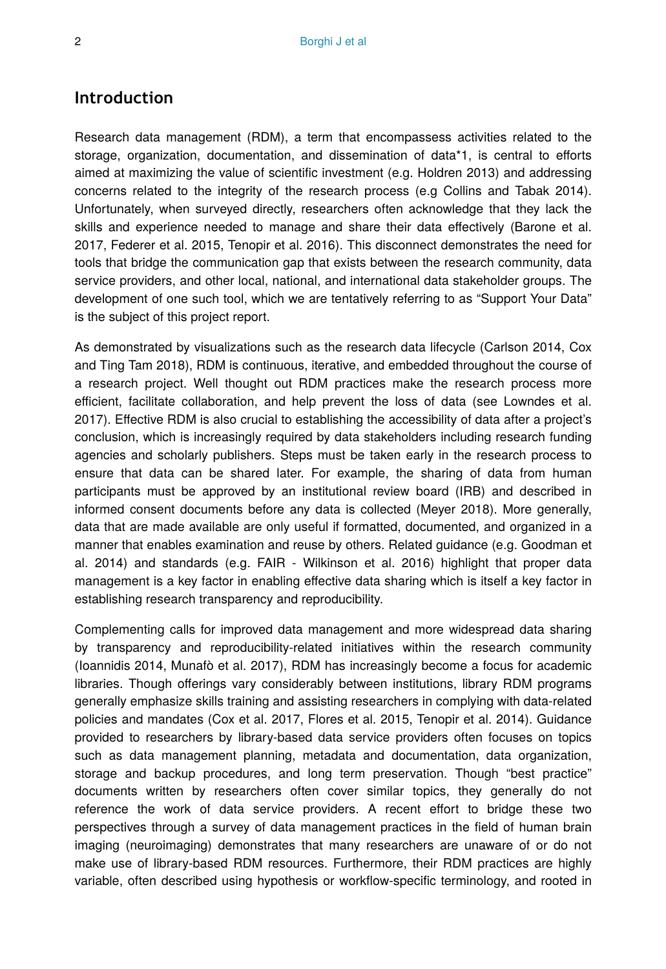# **Introduction**

Research data management (RDM), a term that encompassess activities related to the storage, organization, documentation, and dissemination of data\*1, is central to efforts aimed at maximizing the value of scientific investment (e.g. Holdren 2013) and addressing concerns related to the integrity of the research process (e.g Collins and Tabak 2014). Unfortunately, when surveyed directly, researchers often acknowledge that they lack the skills and experience needed to manage and share their data effectively (Barone et al. 2017, Federer et al. 2015, Tenopir et al. 2016). This disconnect demonstrates the need for tools that bridge the communication gap that exists between the research community, data service providers, and other local, national, and international data stakeholder groups. The development of one such tool, which we are tentatively referring to as "Support Your Data" is the subject of this project report.

As demonstrated by visualizations such as the research data lifecycle (Carlson 2014, Cox and Ting Tam 2018), RDM is continuous, iterative, and embedded throughout the course of a research project. Well thought out RDM practices make the research process more efficient, facilitate collaboration, and help prevent the loss of data (see Lowndes et al. 2017). Effective RDM is also crucial to establishing the accessibility of data after a project's conclusion, which is increasingly required by data stakeholders including research funding agencies and scholarly publishers. Steps must be taken early in the research process to ensure that data can be shared later. For example, the sharing of data from human participants must be approved by an institutional review board (IRB) and described in informed consent documents before any data is collected (Meyer 2018). More generally, data that are made available are only useful if formatted, documented, and organized in a manner that enables examination and reuse by others. Related guidance (e.g. Goodman et al. 2014) and standards (e.g. FAIR - Wilkinson et al. 2016) highlight that proper data management is a key factor in enabling effective data sharing which is itself a key factor in establishing research transparency and reproducibility.

Complementing calls for improved data management and more widespread data sharing by transparency and reproducibility-related initiatives within the research community (Ioannidis 2014, Munafò et al. 2017), RDM has increasingly become a focus for academic libraries. Though offerings vary considerably between institutions, library RDM programs generally emphasize skills training and assisting researchers in complying with data-related policies and mandates (Cox et al. 2017, Flores et al. 2015, Tenopir et al. 2014). Guidance provided to researchers by library-based data service providers often focuses on topics such as data management planning, metadata and documentation, data organization, storage and backup procedures, and long term preservation. Though "best practice" documents written by researchers often cover similar topics, they generally do not reference the work of data service providers. A recent effort to bridge these two perspectives through a survey of data management practices in the field of human brain imaging (neuroimaging) demonstrates that many researchers are unaware of or do not make use of library-based RDM resources. Furthermore, their RDM practices are highly variable, often described using hypothesis or workflow-specific terminology, and rooted in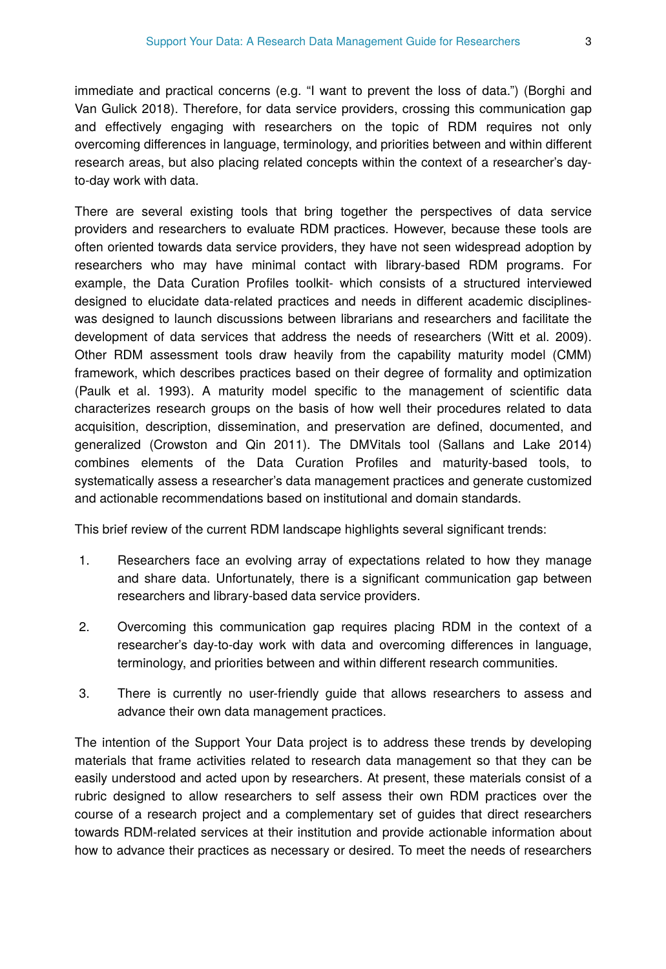immediate and practical concerns (e.g. "I want to prevent the loss of data.") (Borghi and Van Gulick 2018). Therefore, for data service providers, crossing this communication gap and effectively engaging with researchers on the topic of RDM requires not only overcoming differences in language, terminology, and priorities between and within different research areas, but also placing related concepts within the context of a researcher's dayto-day work with data.

There are several existing tools that bring together the perspectives of data service providers and researchers to evaluate RDM practices. However, because these tools are often oriented towards data service providers, they have not seen widespread adoption by researchers who may have minimal contact with library-based RDM programs. For example, the Data Curation Profiles toolkit- which consists of a structured interviewed designed to elucidate data-related practices and needs in different academic disciplineswas designed to launch discussions between librarians and researchers and facilitate the development of data services that address the needs of researchers (Witt et al. 2009). Other RDM assessment tools draw heavily from the capability maturity model (CMM) framework, which describes practices based on their degree of formality and optimization (Paulk et al. 1993). A maturity model specific to the management of scientific data characterizes research groups on the basis of how well their procedures related to data acquisition, description, dissemination, and preservation are defined, documented, and generalized (Crowston and Qin 2011). The DMVitals tool (Sallans and Lake 2014) combines elements of the Data Curation Profiles and maturity-based tools, to systematically assess a researcher's data management practices and generate customized and actionable recommendations based on institutional and domain standards.

This brief review of the current RDM landscape highlights several significant trends:

- 1. Researchers face an evolving array of expectations related to how they manage and share data. Unfortunately, there is a significant communication gap between researchers and library-based data service providers.
- 2. Overcoming this communication gap requires placing RDM in the context of a researcher's day-to-day work with data and overcoming differences in language, terminology, and priorities between and within different research communities.
- 3. There is currently no user-friendly guide that allows researchers to assess and advance their own data management practices.

The intention of the Support Your Data project is to address these trends by developing materials that frame activities related to research data management so that they can be easily understood and acted upon by researchers. At present, these materials consist of a rubric designed to allow researchers to self assess their own RDM practices over the course of a research project and a complementary set of guides that direct researchers towards RDM-related services at their institution and provide actionable information about how to advance their practices as necessary or desired. To meet the needs of researchers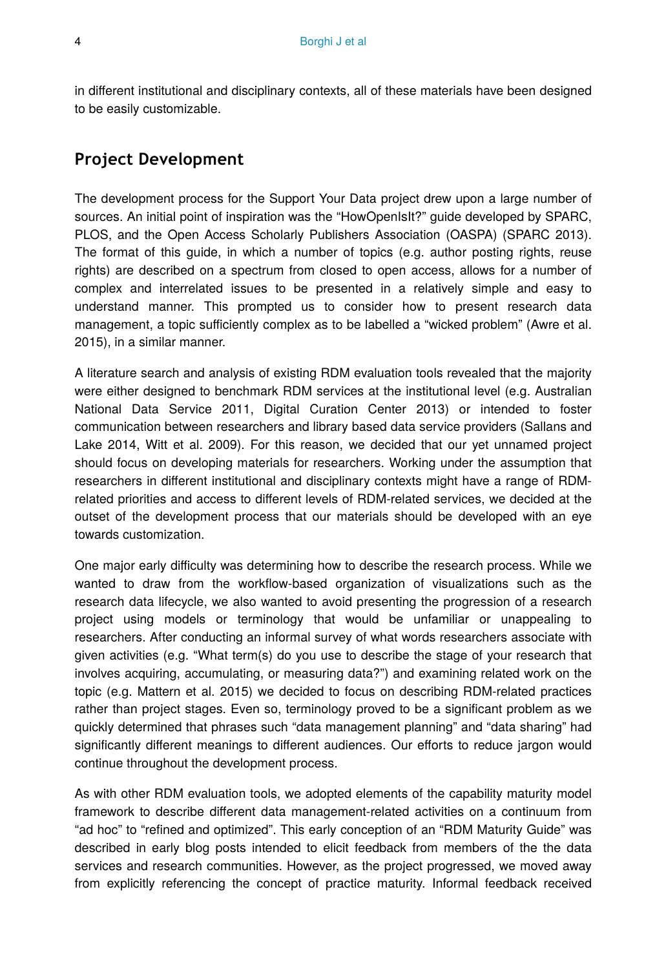in different institutional and disciplinary contexts, all of these materials have been designed to be easily customizable.

# **Project Development**

The development process for the Support Your Data project drew upon a large number of sources. An initial point of inspiration was the "HowOpenIsIt?" guide developed by SPARC, PLOS, and the Open Access Scholarly Publishers Association (OASPA) (SPARC 2013). The format of this guide, in which a number of topics (e.g. author posting rights, reuse rights) are described on a spectrum from closed to open access, allows for a number of complex and interrelated issues to be presented in a relatively simple and easy to understand manner. This prompted us to consider how to present research data management, a topic sufficiently complex as to be labelled a "wicked problem" (Awre et al. 2015), in a similar manner.

A literature search and analysis of existing RDM evaluation tools revealed that the majority were either designed to benchmark RDM services at the institutional level (e.g. Australian National Data Service 2011, Digital Curation Center 2013) or intended to foster communication between researchers and library based data service providers (Sallans and Lake 2014, Witt et al. 2009). For this reason, we decided that our yet unnamed project should focus on developing materials for researchers. Working under the assumption that researchers in different institutional and disciplinary contexts might have a range of RDMrelated priorities and access to different levels of RDM-related services, we decided at the outset of the development process that our materials should be developed with an eye towards customization.

One major early difficulty was determining how to describe the research process. While we wanted to draw from the workflow-based organization of visualizations such as the research data lifecycle, we also wanted to avoid presenting the progression of a research project using models or terminology that would be unfamiliar or unappealing to researchers. After conducting an informal survey of what words researchers associate with given activities (e.g. "What term(s) do you use to describe the stage of your research that involves acquiring, accumulating, or measuring data?") and examining related work on the topic (e.g. Mattern et al. 2015) we decided to focus on describing RDM-related practices rather than project stages. Even so, terminology proved to be a significant problem as we quickly determined that phrases such "data management planning" and "data sharing" had significantly different meanings to different audiences. Our efforts to reduce jargon would continue throughout the development process.

As with other RDM evaluation tools, we adopted elements of the capability maturity model framework to describe different data management-related activities on a continuum from "ad hoc" to "refined and optimized". This early conception of an "RDM Maturity Guide" was described in early blog posts intended to elicit feedback from members of the the data services and research communities. However, as the project progressed, we moved away from explicitly referencing the concept of practice maturity. Informal feedback received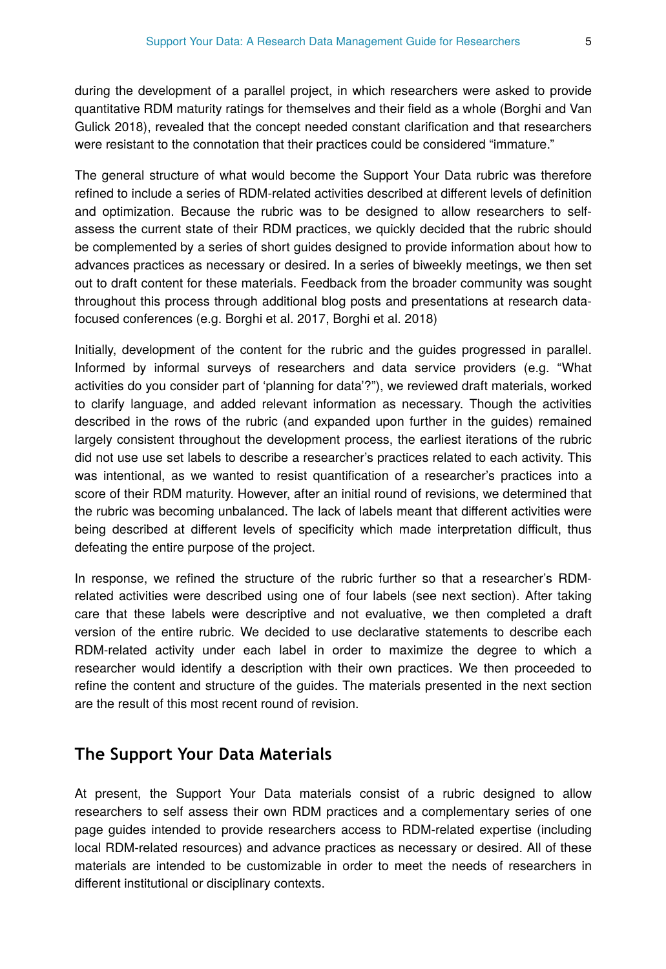during the development of a parallel project, in which researchers were asked to provide quantitative RDM maturity ratings for themselves and their field as a whole (Borghi and Van Gulick 2018), revealed that the concept needed constant clarification and that researchers were resistant to the connotation that their practices could be considered "immature."

The general structure of what would become the Support Your Data rubric was therefore refined to include a series of RDM-related activities described at different levels of definition and optimization. Because the rubric was to be designed to allow researchers to selfassess the current state of their RDM practices, we quickly decided that the rubric should be complemented by a series of short guides designed to provide information about how to advances practices as necessary or desired. In a series of biweekly meetings, we then set out to draft content for these materials. Feedback from the broader community was sought throughout this process through additional blog posts and presentations at research datafocused conferences (e.g. Borghi et al. 2017, Borghi et al. 2018)

Initially, development of the content for the rubric and the guides progressed in parallel. Informed by informal surveys of researchers and data service providers (e.g. "What activities do you consider part of 'planning for data'?"), we reviewed draft materials, worked to clarify language, and added relevant information as necessary. Though the activities described in the rows of the rubric (and expanded upon further in the guides) remained largely consistent throughout the development process, the earliest iterations of the rubric did not use use set labels to describe a researcher's practices related to each activity. This was intentional, as we wanted to resist quantification of a researcher's practices into a score of their RDM maturity. However, after an initial round of revisions, we determined that the rubric was becoming unbalanced. The lack of labels meant that different activities were being described at different levels of specificity which made interpretation difficult, thus defeating the entire purpose of the project.

In response, we refined the structure of the rubric further so that a researcher's RDMrelated activities were described using one of four labels (see next section). After taking care that these labels were descriptive and not evaluative, we then completed a draft version of the entire rubric. We decided to use declarative statements to describe each RDM-related activity under each label in order to maximize the degree to which a researcher would identify a description with their own practices. We then proceeded to refine the content and structure of the guides. The materials presented in the next section are the result of this most recent round of revision.

# **The Support Your Data Materials**

At present, the Support Your Data materials consist of a rubric designed to allow researchers to self assess their own RDM practices and a complementary series of one page guides intended to provide researchers access to RDM-related expertise (including local RDM-related resources) and advance practices as necessary or desired. All of these materials are intended to be customizable in order to meet the needs of researchers in different institutional or disciplinary contexts.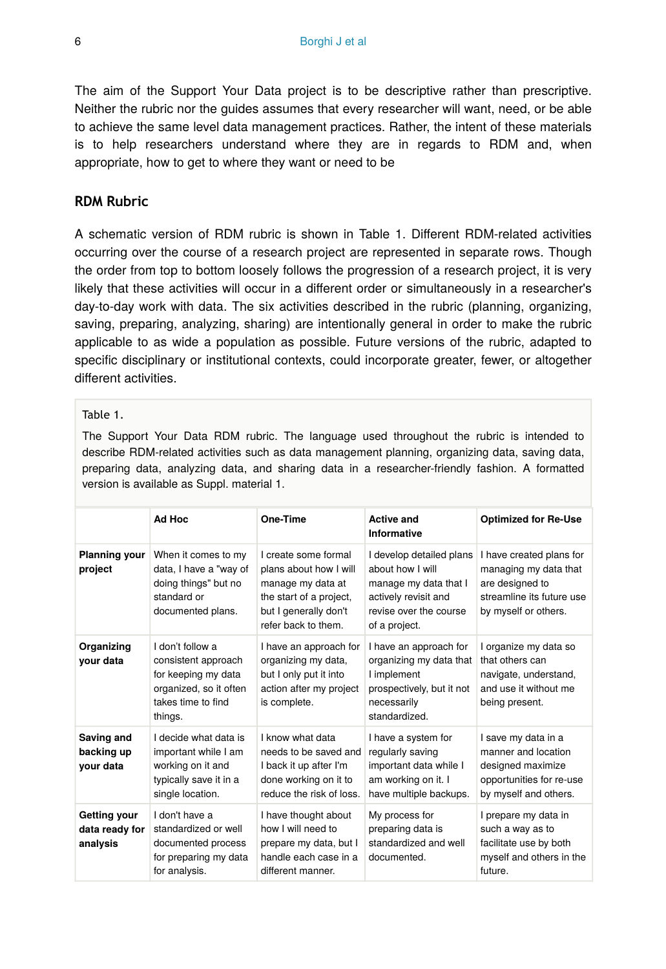The aim of the Support Your Data project is to be descriptive rather than prescriptive. Neither the rubric nor the guides assumes that every researcher will want, need, or be able to achieve the same level data management practices. Rather, the intent of these materials is to help researchers understand where they are in regards to RDM and, when appropriate, how to get to where they want or need to be

### **RDM Rubric**

A schematic version of RDM rubric is shown in Table 1. Different RDM-related activities occurring over the course of a research project are represented in separate rows. Though the order from top to bottom loosely follows the progression of a research project, it is very likely that these activities will occur in a different order or simultaneously in a researcher's day-to-day work with data. The six activities described in the rubric (planning, organizing, saving, preparing, analyzing, sharing) are intentionally general in order to make the rubric applicable to as wide a population as possible. Future versions of the rubric, adapted to specific disciplinary or institutional contexts, could incorporate greater, fewer, or altogether different activities.

### Table 1.

The Support Your Data RDM rubric. The language used throughout the rubric is intended to describe RDM-related activities such as data management planning, organizing data, saving data, preparing data, analyzing data, and sharing data in a researcher-friendly fashion. A formatted version is available as Suppl. material 1.

|                                            | Ad Hoc                                                                                                                    | One-Time                                                                                                                                       | <b>Active and</b><br><b>Informative</b>                                                                                                  | <b>Optimized for Re-Use</b>                                                                                               |
|--------------------------------------------|---------------------------------------------------------------------------------------------------------------------------|------------------------------------------------------------------------------------------------------------------------------------------------|------------------------------------------------------------------------------------------------------------------------------------------|---------------------------------------------------------------------------------------------------------------------------|
| Planning your<br>project                   | When it comes to my<br>data, I have a "way of<br>doing things" but no<br>standard or<br>documented plans.                 | I create some formal<br>plans about how I will<br>manage my data at<br>the start of a project,<br>but I generally don't<br>refer back to them. | I develop detailed plans<br>about how I will<br>manage my data that I<br>actively revisit and<br>revise over the course<br>of a project. | I have created plans for<br>managing my data that<br>are designed to<br>streamline its future use<br>by myself or others. |
| Organizing<br>vour data                    | I don't follow a<br>consistent approach<br>for keeping my data<br>organized, so it often<br>takes time to find<br>things. | I have an approach for<br>organizing my data,<br>but I only put it into<br>action after my project<br>is complete.                             | I have an approach for<br>organizing my data that<br>I implement<br>prospectively, but it not<br>necessarily<br>standardized.            | I organize my data so<br>that others can<br>navigate, understand,<br>and use it without me<br>being present.              |
| Saving and<br>backing up<br>your data      | I decide what data is<br>important while I am<br>working on it and<br>typically save it in a<br>single location.          | I know what data<br>needs to be saved and<br>I back it up after I'm<br>done working on it to<br>reduce the risk of loss.                       | I have a system for<br>regularly saving<br>important data while I<br>am working on it. I<br>have multiple backups.                       | I save my data in a<br>manner and location<br>designed maximize<br>opportunities for re-use<br>by myself and others.      |
| Getting your<br>data ready for<br>analysis | I don't have a<br>standardized or well<br>documented process<br>for preparing my data<br>for analysis.                    | I have thought about<br>how I will need to<br>prepare my data, but I<br>handle each case in a<br>different manner.                             | My process for<br>preparing data is<br>standardized and well<br>documented.                                                              | I prepare my data in<br>such a way as to<br>facilitate use by both<br>myself and others in the<br>future.                 |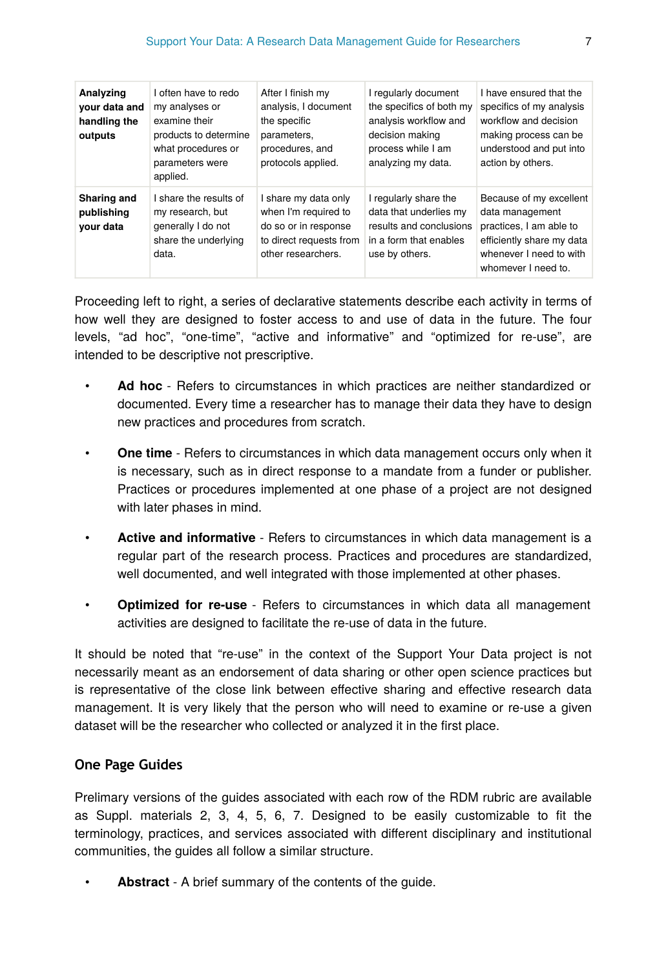| Analyzing<br>your data and<br>handling the<br>outputs | I often have to redo<br>my analyses or<br>examine their<br>products to determine<br>what procedures or<br>parameters were<br>applied. | After I finish my<br>analysis, I document<br>the specific<br>parameters,<br>procedures, and<br>protocols applied.     | I regularly document<br>the specifics of both my<br>analysis workflow and<br>decision making<br>process while I am<br>analyzing my data. | I have ensured that the<br>specifics of my analysis<br>workflow and decision<br>making process can be<br>understood and put into<br>action by others. |
|-------------------------------------------------------|---------------------------------------------------------------------------------------------------------------------------------------|-----------------------------------------------------------------------------------------------------------------------|------------------------------------------------------------------------------------------------------------------------------------------|-------------------------------------------------------------------------------------------------------------------------------------------------------|
| Sharing and<br>publishing<br>vour data                | I share the results of<br>my research, but<br>generally I do not<br>share the underlying<br>data.                                     | I share my data only<br>when I'm required to<br>do so or in response<br>to direct requests from<br>other researchers. | I regularly share the<br>data that underlies my<br>results and conclusions<br>in a form that enables<br>use by others.                   | Because of my excellent<br>data management<br>practices, I am able to<br>efficiently share my data<br>whenever I need to with<br>whomever I need to.  |

Proceeding left to right, a series of declarative statements describe each activity in terms of how well they are designed to foster access to and use of data in the future. The four levels, "ad hoc", "one-time", "active and informative" and "optimized for re-use", are intended to be descriptive not prescriptive.

- **Ad hoc** Refers to circumstances in which practices are neither standardized or documented. Every time a researcher has to manage their data they have to design new practices and procedures from scratch.
- **One time** Refers to circumstances in which data management occurs only when it is necessary, such as in direct response to a mandate from a funder or publisher. Practices or procedures implemented at one phase of a project are not designed with later phases in mind.
- **Active and informative** Refers to circumstances in which data management is a regular part of the research process. Practices and procedures are standardized, well documented, and well integrated with those implemented at other phases.
- **Optimized for re-use** Refers to circumstances in which data all management activities are designed to facilitate the re-use of data in the future.

It should be noted that "re-use" in the context of the Support Your Data project is not necessarily meant as an endorsement of data sharing or other open science practices but is representative of the close link between effective sharing and effective research data management. It is very likely that the person who will need to examine or re-use a given dataset will be the researcher who collected or analyzed it in the first place.

### **One Page Guides**

Prelimary versions of the guides associated with each row of the RDM rubric are available as Suppl. materials 2, 3, 4, 5, 6, 7. Designed to be easily customizable to fit the terminology, practices, and services associated with different disciplinary and institutional communities, the guides all follow a similar structure.

• **Abstract** - A brief summary of the contents of the guide.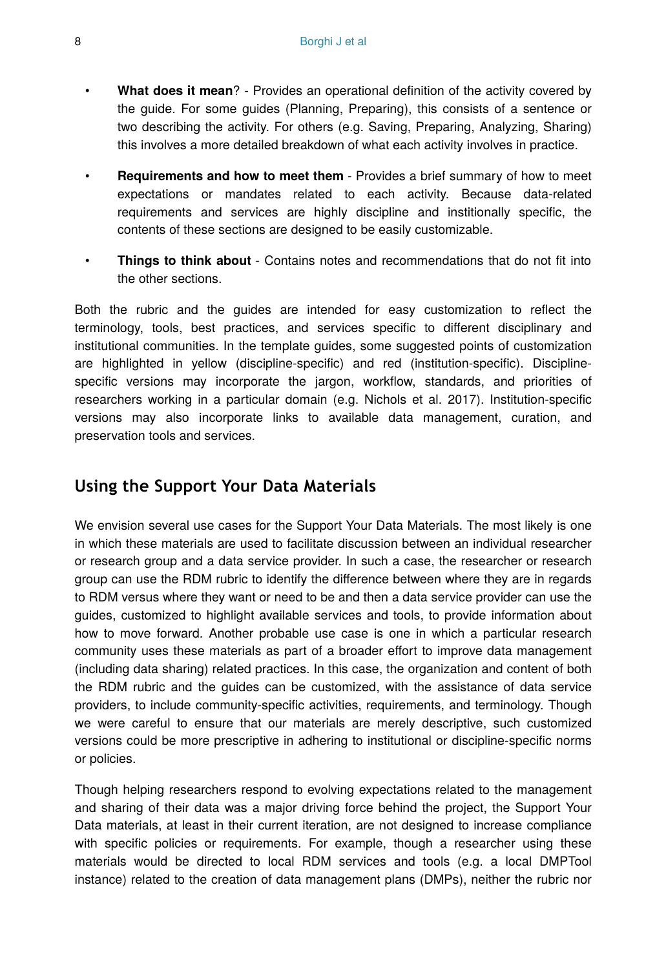- **What does it mean**? Provides an operational definition of the activity covered by the guide. For some guides (Planning, Preparing), this consists of a sentence or two describing the activity. For others (e.g. Saving, Preparing, Analyzing, Sharing) this involves a more detailed breakdown of what each activity involves in practice.
- **Requirements and how to meet them** Provides a brief summary of how to meet expectations or mandates related to each activity. Because data-related requirements and services are highly discipline and institionally specific, the contents of these sections are designed to be easily customizable.
- **Things to think about** Contains notes and recommendations that do not fit into the other sections.

Both the rubric and the guides are intended for easy customization to reflect the terminology, tools, best practices, and services specific to different disciplinary and institutional communities. In the template guides, some suggested points of customization are highlighted in yellow (discipline-specific) and red (institution-specific). Disciplinespecific versions may incorporate the jargon, workflow, standards, and priorities of researchers working in a particular domain (e.g. Nichols et al. 2017). Institution-specific versions may also incorporate links to available data management, curation, and preservation tools and services.

# **Using the Support Your Data Materials**

We envision several use cases for the Support Your Data Materials. The most likely is one in which these materials are used to facilitate discussion between an individual researcher or research group and a data service provider. In such a case, the researcher or research group can use the RDM rubric to identify the difference between where they are in regards to RDM versus where they want or need to be and then a data service provider can use the guides, customized to highlight available services and tools, to provide information about how to move forward. Another probable use case is one in which a particular research community uses these materials as part of a broader effort to improve data management (including data sharing) related practices. In this case, the organization and content of both the RDM rubric and the guides can be customized, with the assistance of data service providers, to include community-specific activities, requirements, and terminology. Though we were careful to ensure that our materials are merely descriptive, such customized versions could be more prescriptive in adhering to institutional or discipline-specific norms or policies.

Though helping researchers respond to evolving expectations related to the management and sharing of their data was a major driving force behind the project, the Support Your Data materials, at least in their current iteration, are not designed to increase compliance with specific policies or requirements. For example, though a researcher using these materials would be directed to local RDM services and tools (e.g. a local DMPTool instance) related to the creation of data management plans (DMPs), neither the rubric nor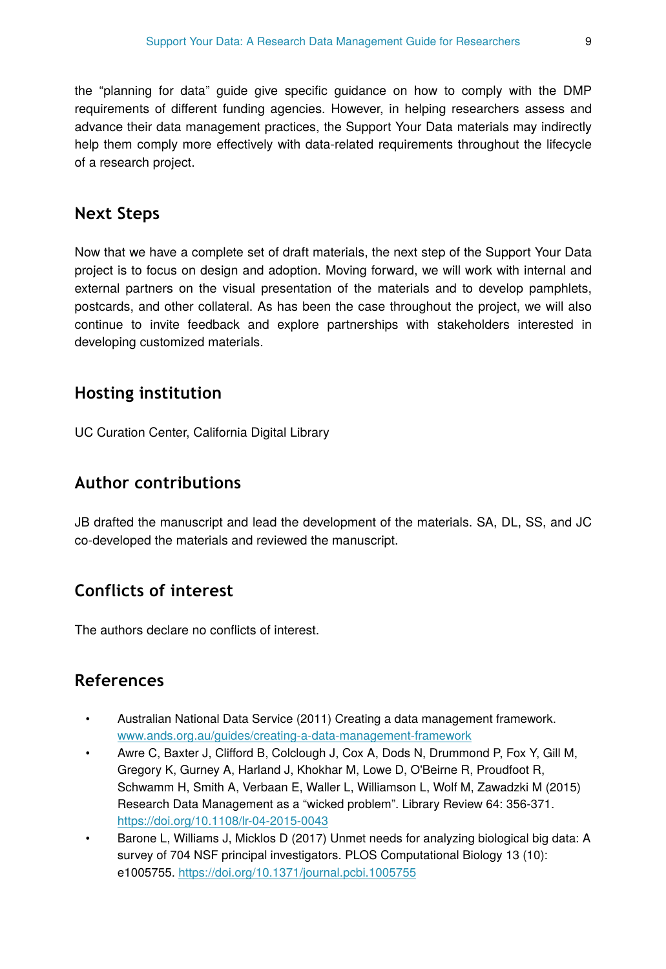the "planning for data" guide give specific guidance on how to comply with the DMP requirements of different funding agencies. However, in helping researchers assess and advance their data management practices, the Support Your Data materials may indirectly help them comply more effectively with data-related requirements throughout the lifecycle of a research project.

# **Next Steps**

Now that we have a complete set of draft materials, the next step of the Support Your Data project is to focus on design and adoption. Moving forward, we will work with internal and external partners on the visual presentation of the materials and to develop pamphlets, postcards, and other collateral. As has been the case throughout the project, we will also continue to invite feedback and explore partnerships with stakeholders interested in developing customized materials.

# **Hosting institution**

UC Curation Center, California Digital Library

# **Author contributions**

JB drafted the manuscript and lead the development of the materials. SA, DL, SS, and JC co-developed the materials and reviewed the manuscript.

# **Conflicts of interest**

The authors declare no conflicts of interest.

# **References**

- Australian National Data Service (2011) Creating a data management framework. [www.ands.org.au/guides/creating-a-data-management-framework](http://www.ands.org.au/guides/creating-a-data-management-framework)
- Awre C, Baxter J, Clifford B, Colclough J, Cox A, Dods N, Drummond P, Fox Y, Gill M, Gregory K, Gurney A, Harland J, Khokhar M, Lowe D, O'Beirne R, Proudfoot R, Schwamm H, Smith A, Verbaan E, Waller L, Williamson L, Wolf M, Zawadzki M (2015) Research Data Management as a "wicked problem". Library Review 64: 356‑371. <https://doi.org/10.1108/lr-04-2015-0043>
- Barone L, Williams J, Micklos D (2017) Unmet needs for analyzing biological big data: A survey of 704 NSF principal investigators. PLOS Computational Biology 13 (10): e1005755.<https://doi.org/10.1371/journal.pcbi.1005755>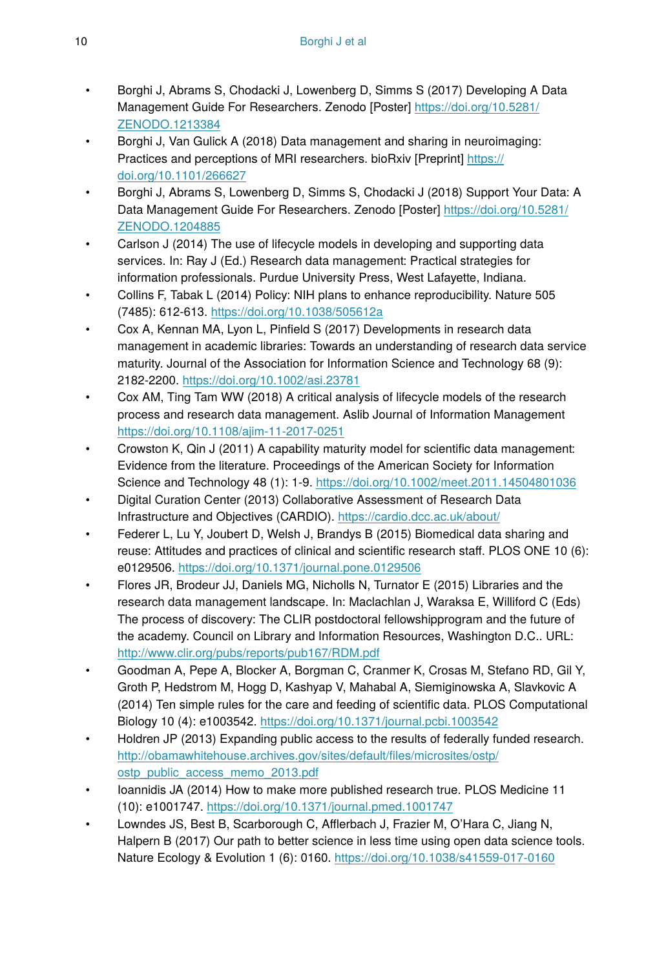- Borghi J, Abrams S, Chodacki J, Lowenberg D, Simms S (2017) Developing A Data Management Guide For Researchers. Zenodo [Poster] [https://doi.org/10.5281/](https://doi.org/10.5281/ZENODO.1213384) [ZENODO.1213384](https://doi.org/10.5281/ZENODO.1213384)
- Borghi J, Van Gulick A (2018) Data management and sharing in neuroimaging: Practices and perceptions of MRI researchers. bioRxiv [Preprint] [https://](https://doi.org/10.1101/266627) [doi.org/10.1101/266627](https://doi.org/10.1101/266627)
- Borghi J, Abrams S, Lowenberg D, Simms S, Chodacki J (2018) Support Your Data: A Data Management Guide For Researchers. Zenodo [Poster] [https://doi.org/10.5281/](https://doi.org/10.5281/ZENODO.1204885) [ZENODO.1204885](https://doi.org/10.5281/ZENODO.1204885)
- Carlson J (2014) The use of lifecycle models in developing and supporting data services. In: Ray J (Ed.) Research data management: Practical strategies for information professionals. Purdue University Press, West Lafayette, Indiana.
- Collins F, Tabak L (2014) Policy: NIH plans to enhance reproducibility. Nature 505 (7485): 612‑613.<https://doi.org/10.1038/505612a>
- Cox A, Kennan MA, Lyon L, Pinfield S (2017) Developments in research data management in academic libraries: Towards an understanding of research data service maturity. Journal of the Association for Information Science and Technology 68 (9): 2182‑2200.<https://doi.org/10.1002/asi.23781>
- Cox AM, Ting Tam WW (2018) A critical analysis of lifecycle models of the research process and research data management. Aslib Journal of Information Management <https://doi.org/10.1108/ajim-11-2017-0251>
- Crowston K, Qin J (2011) A capability maturity model for scientific data management: Evidence from the literature. Proceedings of the American Society for Information Science and Technology 48 (1): 1-9. <https://doi.org/10.1002/meet.2011.14504801036>
- Digital Curation Center (2013) Collaborative Assessment of Research Data Infrastructure and Objectives (CARDIO).<https://cardio.dcc.ac.uk/about/>
- Federer L, Lu Y, Joubert D, Welsh J, Brandys B (2015) Biomedical data sharing and reuse: Attitudes and practices of clinical and scientific research staff. PLOS ONE 10 (6): e0129506.<https://doi.org/10.1371/journal.pone.0129506>
- Flores JR, Brodeur JJ, Daniels MG, Nicholls N, Turnator E (2015) Libraries and the research data management landscape. In: Maclachlan J, Waraksa E, Williford C (Eds) The process of discovery: The CLIR postdoctoral fellowshipprogram and the future of the academy. Council on Library and Information Resources, Washington D.C.. URL: <http://www.clir.org/pubs/reports/pub167/RDM.pdf>
- Goodman A, Pepe A, Blocker A, Borgman C, Cranmer K, Crosas M, Stefano RD, Gil Y, Groth P, Hedstrom M, Hogg D, Kashyap V, Mahabal A, Siemiginowska A, Slavkovic A (2014) Ten simple rules for the care and feeding of scientific data. PLOS Computational Biology 10 (4): e1003542. <https://doi.org/10.1371/journal.pcbi.1003542>
- Holdren JP (2013) Expanding public access to the results of federally funded research. [http://obamawhitehouse.archives.gov/sites/default/](http://obamawhitehouse.archives.gov/sites/default/files/microsites/ostp/ostp_public_access_memo_2013.pdf)files/microsites/ostp/ [ostp\\_public\\_access\\_memo\\_2013.pdf](http://obamawhitehouse.archives.gov/sites/default/files/microsites/ostp/ostp_public_access_memo_2013.pdf)
- Ioannidis JA (2014) How to make more published research true. PLOS Medicine 11 (10): e1001747.<https://doi.org/10.1371/journal.pmed.1001747>
- Lowndes JS, Best B, Scarborough C, Afflerbach J, Frazier M, O'Hara C, Jiang N, Halpern B (2017) Our path to better science in less time using open data science tools. Nature Ecology & Evolution 1 (6): 0160. <https://doi.org/10.1038/s41559-017-0160>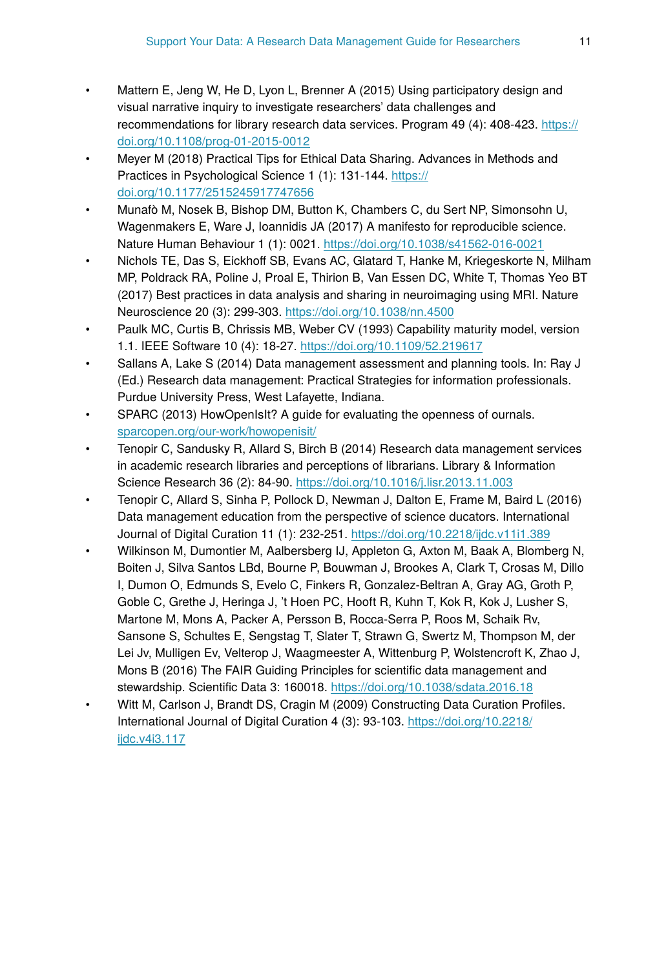- Mattern E, Jeng W, He D, Lyon L, Brenner A (2015) Using participatory design and visual narrative inquiry to investigate researchers' data challenges and recommendations for library research data services. Program 49 (4): 408-423. [https://](https://doi.org/10.1108/prog-01-2015-0012) [doi.org/10.1108/prog-01-2015-0012](https://doi.org/10.1108/prog-01-2015-0012)
- Meyer M (2018) Practical Tips for Ethical Data Sharing. Advances in Methods and Practices in Psychological Science 1 (1): 131-144. [https://](https://doi.org/10.1177/2515245917747656) [doi.org/10.1177/2515245917747656](https://doi.org/10.1177/2515245917747656)
- Munafò M, Nosek B, Bishop DM, Button K, Chambers C, du Sert NP, Simonsohn U, Wagenmakers E, Ware J, Ioannidis JA (2017) A manifesto for reproducible science. Nature Human Behaviour 1 (1): 0021.<https://doi.org/10.1038/s41562-016-0021>
- Nichols TE, Das S, Eickhoff SB, Evans AC, Glatard T, Hanke M, Kriegeskorte N, Milham MP, Poldrack RA, Poline J, Proal E, Thirion B, Van Essen DC, White T, Thomas Yeo BT (2017) Best practices in data analysis and sharing in neuroimaging using MRI. Nature Neuroscience 20 (3): 299‑303.<https://doi.org/10.1038/nn.4500>
- Paulk MC, Curtis B, Chrissis MB, Weber CV (1993) Capability maturity model, version 1.1. IEEE Software 10 (4): 18‑27. <https://doi.org/10.1109/52.219617>
- Sallans A, Lake S (2014) Data management assessment and planning tools. In: Ray J (Ed.) Research data management: Practical Strategies for information professionals. Purdue University Press, West Lafayette, Indiana.
- SPARC (2013) HowOpenIsIt? A guide for evaluating the openness of ournals. [sparcopen.org/our-work/howopenisit/](http://sparcopen.org/our-work/howopenisit/)
- Tenopir C, Sandusky R, Allard S, Birch B (2014) Research data management services in academic research libraries and perceptions of librarians. Library & Information Science Research 36 (2): 84-90. <https://doi.org/10.1016/j.lisr.2013.11.003>
- Tenopir C, Allard S, Sinha P, Pollock D, Newman J, Dalton E, Frame M, Baird L (2016) Data management education from the perspective of science ducators. International Journal of Digital Curation 11 (1): 232‑251.<https://doi.org/10.2218/ijdc.v11i1.389>
- Wilkinson M, Dumontier M, Aalbersberg IJ, Appleton G, Axton M, Baak A, Blomberg N, Boiten J, Silva Santos LBd, Bourne P, Bouwman J, Brookes A, Clark T, Crosas M, Dillo I, Dumon O, Edmunds S, Evelo C, Finkers R, Gonzalez-Beltran A, Gray AG, Groth P, Goble C, Grethe J, Heringa J, 't Hoen PC, Hooft R, Kuhn T, Kok R, Kok J, Lusher S, Martone M, Mons A, Packer A, Persson B, Rocca-Serra P, Roos M, Schaik Rv, Sansone S, Schultes E, Sengstag T, Slater T, Strawn G, Swertz M, Thompson M, der Lei Jv, Mulligen Ev, Velterop J, Waagmeester A, Wittenburg P, Wolstencroft K, Zhao J, Mons B (2016) The FAIR Guiding Principles for scientific data management and stewardship. Scientific Data 3: 160018.<https://doi.org/10.1038/sdata.2016.18>
- Witt M, Carlson J, Brandt DS, Cragin M (2009) Constructing Data Curation Profiles. International Journal of Digital Curation 4 (3): 93‑103. [https://doi.org/10.2218/](https://doi.org/10.2218/ijdc.v4i3.117) [ijdc.v4i3.117](https://doi.org/10.2218/ijdc.v4i3.117)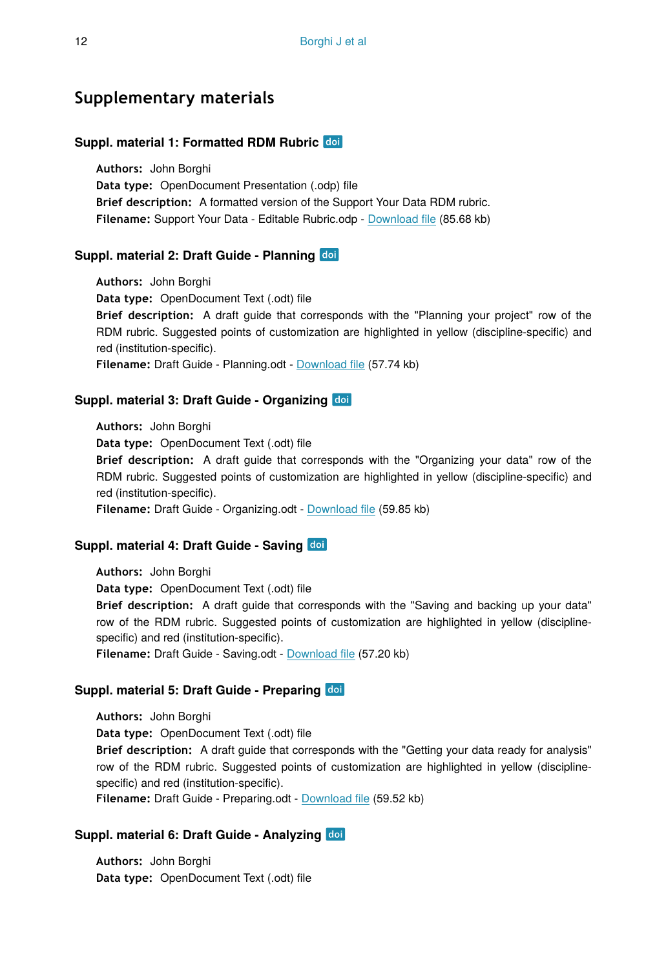### **Supplementary materials**

#### **Suppl. material 1: Formatted RDM Rubric**

**Authors:** John Borghi **Data type:** OpenDocument Presentation (.odp) file **Brief description:** A formatted version of the Support Your Data RDM rubric. **Filename:** Support Your Data - Editable Rubric.odp - [Download](https://arpha.pensoft.net/getfile.php?filename=oo_201006.odp) file (85.68 kb)

#### **Suppl. material 2: Draft Guide - Planning**

**Authors:** John Borghi **Data type:** OpenDocument Text (.odt) file **Brief description:** A draft guide that corresponds with the "Planning your project" row of the RDM rubric. Suggested points of customization are highlighted in yellow (discipline-specific) and red (institution-specific). **Filename:** Draft Guide - Planning.odt - [Download](https://arpha.pensoft.net/getfile.php?filename=oo_201015.odt) file (57.74 kb)

#### **Suppl. material 3: Draft Guide - Organizing**

**Authors:** John Borghi **Data type:** OpenDocument Text (.odt) file **Brief description:** A draft guide that corresponds with the "Organizing your data" row of the RDM rubric. Suggested points of customization are highlighted in yellow (discipline-specific) and red (institution-specific). **Filename:** Draft Guide - Organizing.odt - [Download](https://arpha.pensoft.net/getfile.php?filename=oo_201017.odt) file (59.85 kb)

### **Suppl. material 4: Draft Guide - Saving**

**Authors:** John Borghi **Data type:** OpenDocument Text (.odt) file **Brief description:** A draft guide that corresponds with the "Saving and backing up your data" row of the RDM rubric. Suggested points of customization are highlighted in yellow (disciplinespecific) and red (institution-specific). **Filename:** Draft Guide - Saving.odt - [Download](https://arpha.pensoft.net/getfile.php?filename=oo_201018.odt) file (57.20 kb)

### **Suppl. material 5: Draft Guide - Preparing**

**Authors:** John Borghi **Data type:** OpenDocument Text (.odt) file **Brief description:** A draft guide that corresponds with the "Getting your data ready for analysis" row of the RDM rubric. Suggested points of customization are highlighted in yellow (disciplinespecific) and red (institution-specific). **Filename:** Draft Guide - Preparing.odt - [Download](https://arpha.pensoft.net/getfile.php?filename=oo_201041.odt) file (59.52 kb)

### **Suppl. material 6: Draft Guide - Analyzing**

**Authors:** John Borghi **Data type:** OpenDocument Text (.odt) file